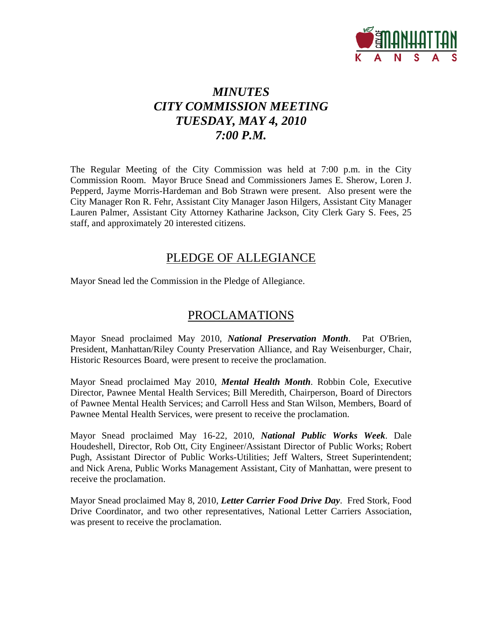

# *MINUTES CITY COMMISSION MEETING TUESDAY, MAY 4, 2010 7:00 P.M.*

The Regular Meeting of the City Commission was held at 7:00 p.m. in the City Commission Room. Mayor Bruce Snead and Commissioners James E. Sherow, Loren J. Pepperd, Jayme Morris-Hardeman and Bob Strawn were present. Also present were the City Manager Ron R. Fehr, Assistant City Manager Jason Hilgers, Assistant City Manager Lauren Palmer, Assistant City Attorney Katharine Jackson, City Clerk Gary S. Fees, 25 staff, and approximately 20 interested citizens.

# PLEDGE OF ALLEGIANCE

Mayor Snead led the Commission in the Pledge of Allegiance.

# PROCLAMATIONS

Mayor Snead proclaimed May 2010, *National Preservation Month*. Pat O'Brien, President, Manhattan/Riley County Preservation Alliance, and Ray Weisenburger, Chair, Historic Resources Board, were present to receive the proclamation.

Mayor Snead proclaimed May 2010, *Mental Health Month*. Robbin Cole, Executive Director, Pawnee Mental Health Services; Bill Meredith, Chairperson, Board of Directors of Pawnee Mental Health Services; and Carroll Hess and Stan Wilson, Members, Board of Pawnee Mental Health Services, were present to receive the proclamation.

Mayor Snead proclaimed May 16-22, 2010, *National Public Works Week*. Dale Houdeshell, Director, Rob Ott, City Engineer/Assistant Director of Public Works; Robert Pugh, Assistant Director of Public Works-Utilities; Jeff Walters, Street Superintendent; and Nick Arena, Public Works Management Assistant, City of Manhattan, were present to receive the proclamation.

Mayor Snead proclaimed May 8, 2010, *Letter Carrier Food Drive Day*. Fred Stork, Food Drive Coordinator, and two other representatives, National Letter Carriers Association, was present to receive the proclamation.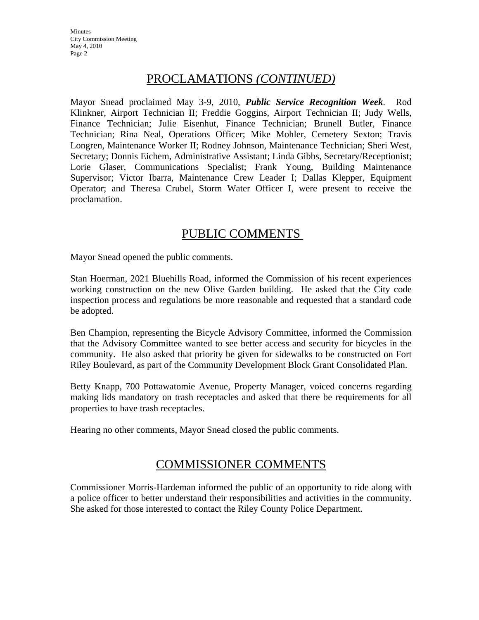**Minutes** City Commission Meeting May 4, 2010 Page 2

# PROCLAMATIONS *(CONTINUED)*

Mayor Snead proclaimed May 3-9, 2010, *Public Service Recognition Week*. Rod Klinkner, Airport Technician II; Freddie Goggins, Airport Technician II; Judy Wells, Finance Technician; Julie Eisenhut, Finance Technician; Brunell Butler, Finance Technician; Rina Neal, Operations Officer; Mike Mohler, Cemetery Sexton; Travis Longren, Maintenance Worker II; Rodney Johnson, Maintenance Technician; Sheri West, Secretary; Donnis Eichem, Administrative Assistant; Linda Gibbs, Secretary/Receptionist; Lorie Glaser, Communications Specialist; Frank Young, Building Maintenance Supervisor; Victor Ibarra, Maintenance Crew Leader I; Dallas Klepper, Equipment Operator; and Theresa Crubel, Storm Water Officer I, were present to receive the proclamation.

# PUBLIC COMMENTS

Mayor Snead opened the public comments.

Stan Hoerman, 2021 Bluehills Road, informed the Commission of his recent experiences working construction on the new Olive Garden building. He asked that the City code inspection process and regulations be more reasonable and requested that a standard code be adopted.

Ben Champion, representing the Bicycle Advisory Committee, informed the Commission that the Advisory Committee wanted to see better access and security for bicycles in the community. He also asked that priority be given for sidewalks to be constructed on Fort Riley Boulevard, as part of the Community Development Block Grant Consolidated Plan.

Betty Knapp, 700 Pottawatomie Avenue, Property Manager, voiced concerns regarding making lids mandatory on trash receptacles and asked that there be requirements for all properties to have trash receptacles.

Hearing no other comments, Mayor Snead closed the public comments.

# COMMISSIONER COMMENTS

Commissioner Morris-Hardeman informed the public of an opportunity to ride along with a police officer to better understand their responsibilities and activities in the community. She asked for those interested to contact the Riley County Police Department.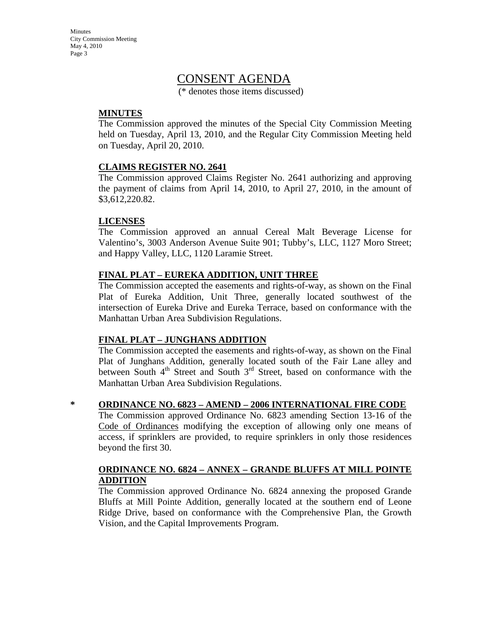**Minutes** City Commission Meeting May 4, 2010 Page 3

# CONSENT AGENDA

(\* denotes those items discussed)

#### **MINUTES**

The Commission approved the minutes of the Special City Commission Meeting held on Tuesday, April 13, 2010, and the Regular City Commission Meeting held on Tuesday, April 20, 2010.

#### **CLAIMS REGISTER NO. 2641**

The Commission approved Claims Register No. 2641 authorizing and approving the payment of claims from April 14, 2010, to April 27, 2010, in the amount of \$3,612,220.82.

#### **LICENSES**

The Commission approved an annual Cereal Malt Beverage License for Valentino's, 3003 Anderson Avenue Suite 901; Tubby's, LLC, 1127 Moro Street; and Happy Valley, LLC, 1120 Laramie Street.

#### **FINAL PLAT – EUREKA ADDITION, UNIT THREE**

The Commission accepted the easements and rights-of-way, as shown on the Final Plat of Eureka Addition, Unit Three, generally located southwest of the intersection of Eureka Drive and Eureka Terrace, based on conformance with the Manhattan Urban Area Subdivision Regulations.

#### **FINAL PLAT – JUNGHANS ADDITION**

The Commission accepted the easements and rights-of-way, as shown on the Final Plat of Junghans Addition, generally located south of the Fair Lane alley and between South  $4<sup>th</sup>$  Street and South  $3<sup>rd</sup>$  Street, based on conformance with the Manhattan Urban Area Subdivision Regulations.

#### **\* ORDINANCE NO. 6823 – AMEND – 2006 INTERNATIONAL FIRE CODE**

The Commission approved Ordinance No. 6823 amending Section 13-16 of the Code of Ordinances modifying the exception of allowing only one means of access, if sprinklers are provided, to require sprinklers in only those residences beyond the first 30.

#### **ORDINANCE NO. 6824 – ANNEX – GRANDE BLUFFS AT MILL POINTE ADDITION**

The Commission approved Ordinance No. 6824 annexing the proposed Grande Bluffs at Mill Pointe Addition, generally located at the southern end of Leone Ridge Drive, based on conformance with the Comprehensive Plan, the Growth Vision, and the Capital Improvements Program.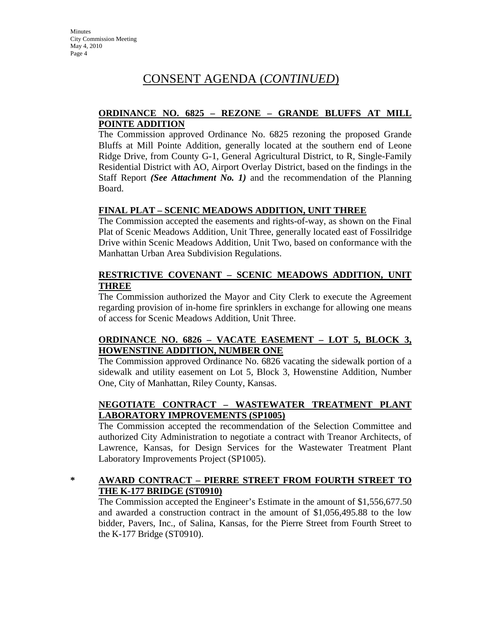#### **ORDINANCE NO. 6825 – REZONE – GRANDE BLUFFS AT MILL POINTE ADDITION**

The Commission approved Ordinance No. 6825 rezoning the proposed Grande Bluffs at Mill Pointe Addition, generally located at the southern end of Leone Ridge Drive, from County G-1, General Agricultural District, to R, Single-Family Residential District with AO, Airport Overlay District, based on the findings in the Staff Report *(See Attachment No. 1)* and the recommendation of the Planning Board.

#### **FINAL PLAT – SCENIC MEADOWS ADDITION, UNIT THREE**

The Commission accepted the easements and rights-of-way, as shown on the Final Plat of Scenic Meadows Addition, Unit Three, generally located east of Fossilridge Drive within Scenic Meadows Addition, Unit Two, based on conformance with the Manhattan Urban Area Subdivision Regulations.

#### **RESTRICTIVE COVENANT – SCENIC MEADOWS ADDITION, UNIT THREE**

The Commission authorized the Mayor and City Clerk to execute the Agreement regarding provision of in-home fire sprinklers in exchange for allowing one means of access for Scenic Meadows Addition, Unit Three.

#### **ORDINANCE NO. 6826 – VACATE EASEMENT – LOT 5, BLOCK 3, HOWENSTINE ADDITION, NUMBER ONE**

The Commission approved Ordinance No. 6826 vacating the sidewalk portion of a sidewalk and utility easement on Lot 5, Block 3, Howenstine Addition, Number One, City of Manhattan, Riley County, Kansas.

#### **NEGOTIATE CONTRACT – WASTEWATER TREATMENT PLANT LABORATORY IMPROVEMENTS (SP1005)**

The Commission accepted the recommendation of the Selection Committee and authorized City Administration to negotiate a contract with Treanor Architects, of Lawrence, Kansas, for Design Services for the Wastewater Treatment Plant Laboratory Improvements Project (SP1005).

#### **\* AWARD CONTRACT – PIERRE STREET FROM FOURTH STREET TO THE K-177 BRIDGE (ST0910)**

The Commission accepted the Engineer's Estimate in the amount of \$1,556,677.50 and awarded a construction contract in the amount of \$1,056,495.88 to the low bidder, Pavers, Inc., of Salina, Kansas, for the Pierre Street from Fourth Street to the K-177 Bridge (ST0910).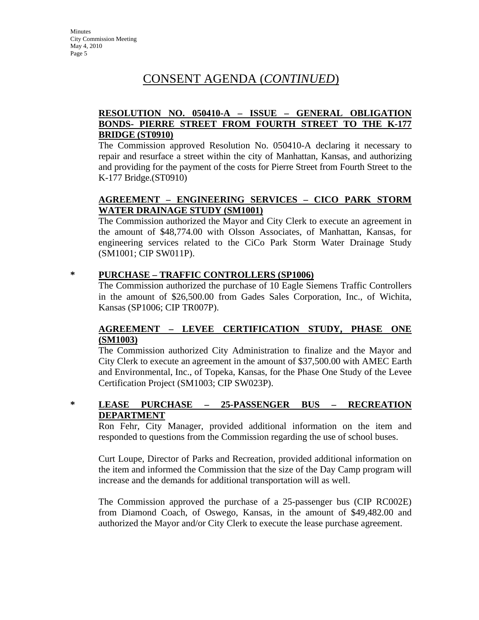### **RESOLUTION NO. 050410-A – ISSUE – GENERAL OBLIGATION BONDS- PIERRE STREET FROM FOURTH STREET TO THE K-177 BRIDGE (ST0910)**

The Commission approved Resolution No. 050410-A declaring it necessary to repair and resurface a street within the city of Manhattan, Kansas, and authorizing and providing for the payment of the costs for Pierre Street from Fourth Street to the K-177 Bridge.(ST0910)

## **AGREEMENT – ENGINEERING SERVICES – CICO PARK STORM WATER DRAINAGE STUDY (SM1001)**

The Commission authorized the Mayor and City Clerk to execute an agreement in the amount of \$48,774.00 with Olsson Associates, of Manhattan, Kansas, for engineering services related to the CiCo Park Storm Water Drainage Study (SM1001; CIP SW011P).

#### **\* PURCHASE – TRAFFIC CONTROLLERS (SP1006)**

The Commission authorized the purchase of 10 Eagle Siemens Traffic Controllers in the amount of \$26,500.00 from Gades Sales Corporation, Inc., of Wichita, Kansas (SP1006; CIP TR007P).

#### **AGREEMENT – LEVEE CERTIFICATION STUDY, PHASE ONE (SM1003)**

The Commission authorized City Administration to finalize and the Mayor and City Clerk to execute an agreement in the amount of \$37,500.00 with AMEC Earth and Environmental, Inc., of Topeka, Kansas, for the Phase One Study of the Levee Certification Project (SM1003; CIP SW023P).

**\* LEASE PURCHASE – 25-PASSENGER BUS – RECREATION DEPARTMENT**

Ron Fehr, City Manager, provided additional information on the item and responded to questions from the Commission regarding the use of school buses.

Curt Loupe, Director of Parks and Recreation, provided additional information on the item and informed the Commission that the size of the Day Camp program will increase and the demands for additional transportation will as well.

The Commission approved the purchase of a 25-passenger bus (CIP RC002E) from Diamond Coach, of Oswego, Kansas, in the amount of \$49,482.00 and authorized the Mayor and/or City Clerk to execute the lease purchase agreement.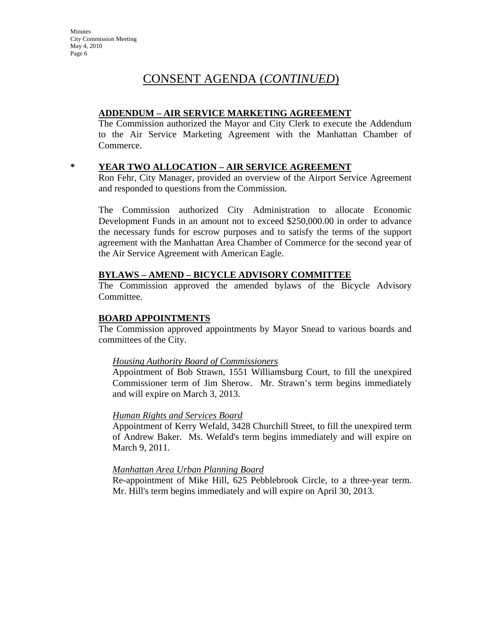#### **ADDENDUM – AIR SERVICE MARKETING AGREEMENT**

The Commission authorized the Mayor and City Clerk to execute the Addendum to the Air Service Marketing Agreement with the Manhattan Chamber of Commerce.

#### **\* YEAR TWO ALLOCATION – AIR SERVICE AGREEMENT**

Ron Fehr, City Manager, provided an overview of the Airport Service Agreement and responded to questions from the Commission.

The Commission authorized City Administration to allocate Economic Development Funds in an amount not to exceed \$250,000.00 in order to advance the necessary funds for escrow purposes and to satisfy the terms of the support agreement with the Manhattan Area Chamber of Commerce for the second year of the Air Service Agreement with American Eagle.

#### **BYLAWS – AMEND – BICYCLE ADVISORY COMMITTEE**

The Commission approved the amended bylaws of the Bicycle Advisory Committee.

#### **BOARD APPOINTMENTS**

The Commission approved appointments by Mayor Snead to various boards and committees of the City.

#### *Housing Authority Board of Commissioners*

Appointment of Bob Strawn, 1551 Williamsburg Court, to fill the unexpired Commissioner term of Jim Sherow. Mr. Strawn's term begins immediately and will expire on March 3, 2013.

#### *Human Rights and Services Board*

Appointment of Kerry Wefald, 3428 Churchill Street, to fill the unexpired term of Andrew Baker. Ms. Wefald's term begins immediately and will expire on March 9, 2011.

#### *Manhattan Area Urban Planning Board*

Re-appointment of Mike Hill, 625 Pebblebrook Circle, to a three-year term. Mr. Hill's term begins immediately and will expire on April 30, 2013.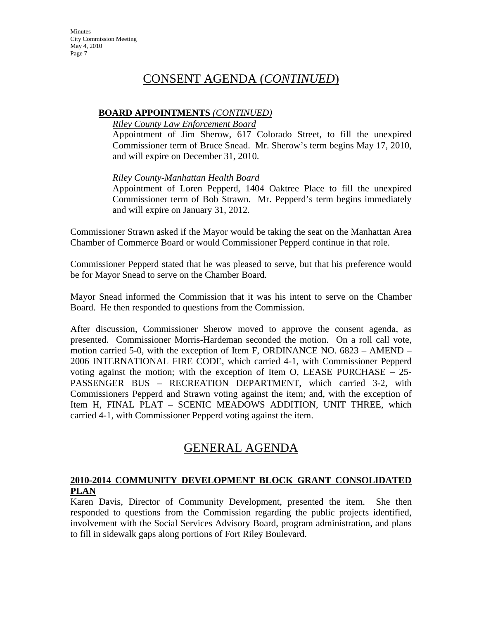#### **BOARD APPOINTMENTS** *(CONTINUED)*

#### *Riley County Law Enforcement Board*

Appointment of Jim Sherow, 617 Colorado Street, to fill the unexpired Commissioner term of Bruce Snead. Mr. Sherow's term begins May 17, 2010, and will expire on December 31, 2010.

#### *Riley County-Manhattan Health Board*

Appointment of Loren Pepperd, 1404 Oaktree Place to fill the unexpired Commissioner term of Bob Strawn. Mr. Pepperd's term begins immediately and will expire on January 31, 2012.

Commissioner Strawn asked if the Mayor would be taking the seat on the Manhattan Area Chamber of Commerce Board or would Commissioner Pepperd continue in that role.

Commissioner Pepperd stated that he was pleased to serve, but that his preference would be for Mayor Snead to serve on the Chamber Board.

Mayor Snead informed the Commission that it was his intent to serve on the Chamber Board. He then responded to questions from the Commission.

After discussion, Commissioner Sherow moved to approve the consent agenda, as presented. Commissioner Morris-Hardeman seconded the motion. On a roll call vote, motion carried 5-0, with the exception of Item F, ORDINANCE NO. 6823 – AMEND – 2006 INTERNATIONAL FIRE CODE, which carried 4-1, with Commissioner Pepperd voting against the motion; with the exception of Item O, LEASE PURCHASE  $-25$ -PASSENGER BUS – RECREATION DEPARTMENT, which carried 3-2, with Commissioners Pepperd and Strawn voting against the item; and, with the exception of Item H, FINAL PLAT – SCENIC MEADOWS ADDITION, UNIT THREE, which carried 4-1, with Commissioner Pepperd voting against the item.

# GENERAL AGENDA

# **2010-2014 COMMUNITY DEVELOPMENT BLOCK GRANT CONSOLIDATED PLAN**

Karen Davis, Director of Community Development, presented the item. She then responded to questions from the Commission regarding the public projects identified, involvement with the Social Services Advisory Board, program administration, and plans to fill in sidewalk gaps along portions of Fort Riley Boulevard.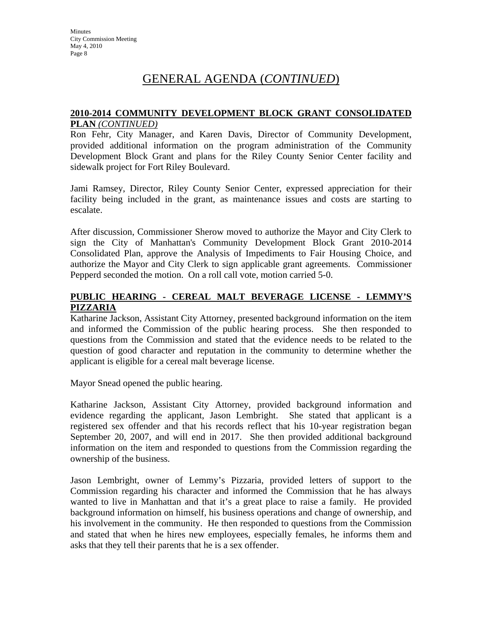# GENERAL AGENDA (*CONTINUED*)

#### **2010-2014 COMMUNITY DEVELOPMENT BLOCK GRANT CONSOLIDATED PLAN** *(CONTINUED)*

Ron Fehr, City Manager, and Karen Davis, Director of Community Development, provided additional information on the program administration of the Community Development Block Grant and plans for the Riley County Senior Center facility and sidewalk project for Fort Riley Boulevard.

Jami Ramsey, Director, Riley County Senior Center, expressed appreciation for their facility being included in the grant, as maintenance issues and costs are starting to escalate.

After discussion, Commissioner Sherow moved to authorize the Mayor and City Clerk to sign the City of Manhattan's Community Development Block Grant 2010-2014 Consolidated Plan, approve the Analysis of Impediments to Fair Housing Choice, and authorize the Mayor and City Clerk to sign applicable grant agreements. Commissioner Pepperd seconded the motion. On a roll call vote, motion carried 5-0.

#### **PUBLIC HEARING - CEREAL MALT BEVERAGE LICENSE - LEMMY'S PIZZARIA**

Katharine Jackson, Assistant City Attorney, presented background information on the item and informed the Commission of the public hearing process. She then responded to questions from the Commission and stated that the evidence needs to be related to the question of good character and reputation in the community to determine whether the applicant is eligible for a cereal malt beverage license.

Mayor Snead opened the public hearing.

Katharine Jackson, Assistant City Attorney, provided background information and evidence regarding the applicant, Jason Lembright. She stated that applicant is a registered sex offender and that his records reflect that his 10-year registration began September 20, 2007, and will end in 2017. She then provided additional background information on the item and responded to questions from the Commission regarding the ownership of the business.

Jason Lembright, owner of Lemmy's Pizzaria, provided letters of support to the Commission regarding his character and informed the Commission that he has always wanted to live in Manhattan and that it's a great place to raise a family. He provided background information on himself, his business operations and change of ownership, and his involvement in the community. He then responded to questions from the Commission and stated that when he hires new employees, especially females, he informs them and asks that they tell their parents that he is a sex offender.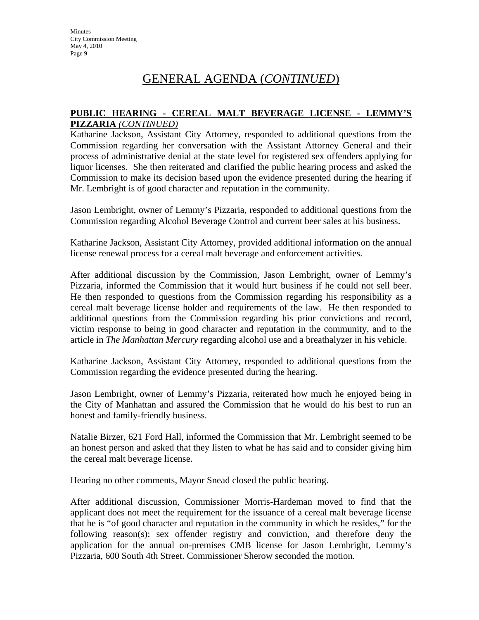# GENERAL AGENDA (*CONTINUED*)

#### **PUBLIC HEARING - CEREAL MALT BEVERAGE LICENSE - LEMMY'S PIZZARIA** *(CONTINUED)*

Katharine Jackson, Assistant City Attorney, responded to additional questions from the Commission regarding her conversation with the Assistant Attorney General and their process of administrative denial at the state level for registered sex offenders applying for liquor licenses. She then reiterated and clarified the public hearing process and asked the Commission to make its decision based upon the evidence presented during the hearing if Mr. Lembright is of good character and reputation in the community.

Jason Lembright, owner of Lemmy's Pizzaria, responded to additional questions from the Commission regarding Alcohol Beverage Control and current beer sales at his business.

Katharine Jackson, Assistant City Attorney, provided additional information on the annual license renewal process for a cereal malt beverage and enforcement activities.

After additional discussion by the Commission, Jason Lembright, owner of Lemmy's Pizzaria, informed the Commission that it would hurt business if he could not sell beer. He then responded to questions from the Commission regarding his responsibility as a cereal malt beverage license holder and requirements of the law. He then responded to additional questions from the Commission regarding his prior convictions and record, victim response to being in good character and reputation in the community, and to the article in *The Manhattan Mercury* regarding alcohol use and a breathalyzer in his vehicle.

Katharine Jackson, Assistant City Attorney, responded to additional questions from the Commission regarding the evidence presented during the hearing.

Jason Lembright, owner of Lemmy's Pizzaria, reiterated how much he enjoyed being in the City of Manhattan and assured the Commission that he would do his best to run an honest and family-friendly business.

Natalie Birzer, 621 Ford Hall, informed the Commission that Mr. Lembright seemed to be an honest person and asked that they listen to what he has said and to consider giving him the cereal malt beverage license.

Hearing no other comments, Mayor Snead closed the public hearing.

After additional discussion, Commissioner Morris-Hardeman moved to find that the applicant does not meet the requirement for the issuance of a cereal malt beverage license that he is "of good character and reputation in the community in which he resides," for the following reason(s): sex offender registry and conviction, and therefore deny the application for the annual on-premises CMB license for Jason Lembright, Lemmy's Pizzaria, 600 South 4th Street. Commissioner Sherow seconded the motion.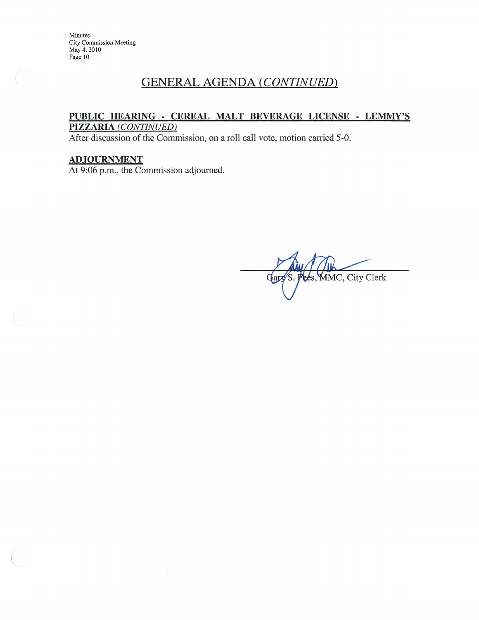# **GENERAL AGENDA (CONTINUED)**

#### PUBLIC HEARING - CEREAL MALT BEVERAGE LICENSE - LEMMY'S PIZZARIA (CONTINUED)

After discussion of the Commission, on a roll call vote, motion carried 5-0.

## ADJOURNMENT

At 9:06 p.m., the Commission adjourned.

MMC, City Clerk Gar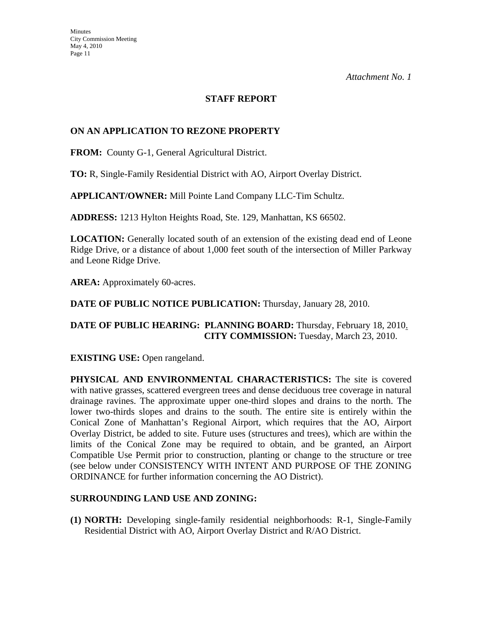### **STAFF REPORT**

### **ON AN APPLICATION TO REZONE PROPERTY**

**FROM:** County G-1, General Agricultural District.

**TO:** R, Single-Family Residential District with AO, Airport Overlay District.

**APPLICANT/OWNER:** Mill Pointe Land Company LLC-Tim Schultz.

**ADDRESS:** 1213 Hylton Heights Road, Ste. 129, Manhattan, KS 66502.

**LOCATION:** Generally located south of an extension of the existing dead end of Leone Ridge Drive, or a distance of about 1,000 feet south of the intersection of Miller Parkway and Leone Ridge Drive.

**AREA:** Approximately 60-acres.

**DATE OF PUBLIC NOTICE PUBLICATION:** Thursday, January 28, 2010.

## **DATE OF PUBLIC HEARING: PLANNING BOARD:** Thursday, February 18, 2010. **CITY COMMISSION:** Tuesday, March 23, 2010.

**EXISTING USE:** Open rangeland.

**PHYSICAL AND ENVIRONMENTAL CHARACTERISTICS:** The site is covered with native grasses, scattered evergreen trees and dense deciduous tree coverage in natural drainage ravines. The approximate upper one-third slopes and drains to the north. The lower two-thirds slopes and drains to the south. The entire site is entirely within the Conical Zone of Manhattan's Regional Airport, which requires that the AO, Airport Overlay District, be added to site. Future uses (structures and trees), which are within the limits of the Conical Zone may be required to obtain, and be granted, an Airport Compatible Use Permit prior to construction, planting or change to the structure or tree (see below under CONSISTENCY WITH INTENT AND PURPOSE OF THE ZONING ORDINANCE for further information concerning the AO District).

#### **SURROUNDING LAND USE AND ZONING:**

**(1) NORTH:** Developing single-family residential neighborhoods: R-1, Single-Family Residential District with AO, Airport Overlay District and R/AO District.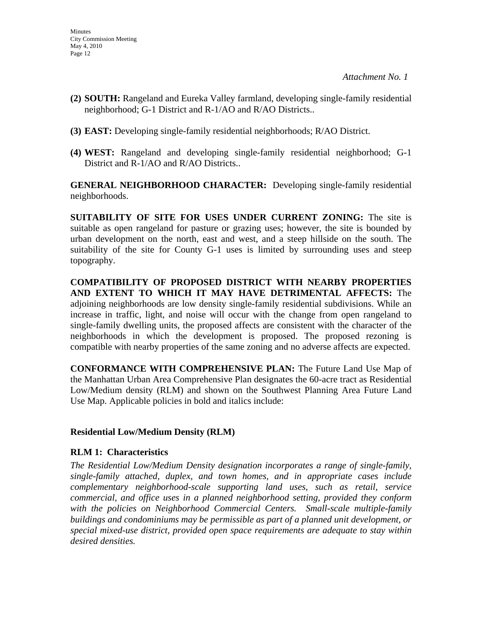- **(2) SOUTH:** Rangeland and Eureka Valley farmland, developing single-family residential neighborhood; G-1 District and R-1/AO and R/AO Districts..
- **(3) EAST:** Developing single-family residential neighborhoods; R/AO District.
- **(4) WEST:** Rangeland and developing single-family residential neighborhood; G-1 District and R-1/AO and R/AO Districts..

**GENERAL NEIGHBORHOOD CHARACTER:** Developing single-family residential neighborhoods.

**SUITABILITY OF SITE FOR USES UNDER CURRENT ZONING:** The site is suitable as open rangeland for pasture or grazing uses; however, the site is bounded by urban development on the north, east and west, and a steep hillside on the south. The suitability of the site for County G-1 uses is limited by surrounding uses and steep topography.

**COMPATIBILITY OF PROPOSED DISTRICT WITH NEARBY PROPERTIES AND EXTENT TO WHICH IT MAY HAVE DETRIMENTAL AFFECTS:** The adjoining neighborhoods are low density single-family residential subdivisions. While an increase in traffic, light, and noise will occur with the change from open rangeland to single-family dwelling units, the proposed affects are consistent with the character of the neighborhoods in which the development is proposed. The proposed rezoning is compatible with nearby properties of the same zoning and no adverse affects are expected.

**CONFORMANCE WITH COMPREHENSIVE PLAN:** The Future Land Use Map of the Manhattan Urban Area Comprehensive Plan designates the 60-acre tract as Residential Low/Medium density (RLM) and shown on the Southwest Planning Area Future Land Use Map. Applicable policies in bold and italics include:

# **Residential Low/Medium Density (RLM)**

# **RLM 1: Characteristics**

*The Residential Low/Medium Density designation incorporates a range of single-family, single-family attached, duplex, and town homes, and in appropriate cases include complementary neighborhood-scale supporting land uses, such as retail, service commercial, and office uses in a planned neighborhood setting, provided they conform with the policies on Neighborhood Commercial Centers. Small-scale multiple-family buildings and condominiums may be permissible as part of a planned unit development, or special mixed-use district, provided open space requirements are adequate to stay within desired densities.*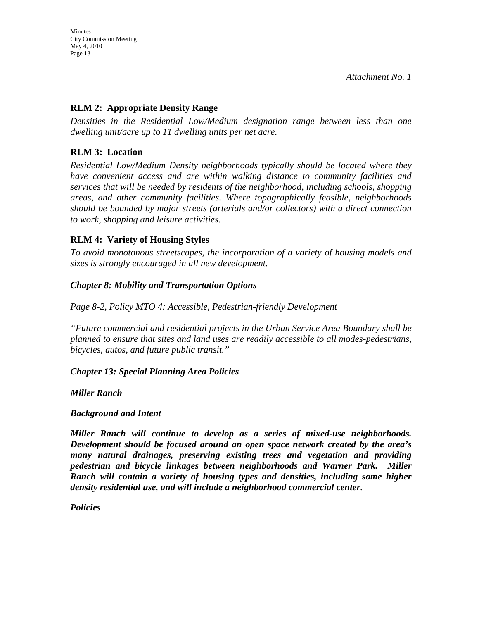## **RLM 2: Appropriate Density Range**

*Densities in the Residential Low/Medium designation range between less than one dwelling unit/acre up to 11 dwelling units per net acre.* 

## **RLM 3: Location**

*Residential Low/Medium Density neighborhoods typically should be located where they have convenient access and are within walking distance to community facilities and services that will be needed by residents of the neighborhood, including schools, shopping areas, and other community facilities. Where topographically feasible, neighborhoods should be bounded by major streets (arterials and/or collectors) with a direct connection to work, shopping and leisure activities.* 

## **RLM 4: Variety of Housing Styles**

*To avoid monotonous streetscapes, the incorporation of a variety of housing models and sizes is strongly encouraged in all new development.* 

#### *Chapter 8: Mobility and Transportation Options*

*Page 8-2, Policy MTO 4: Accessible, Pedestrian-friendly Development* 

*"Future commercial and residential projects in the Urban Service Area Boundary shall be planned to ensure that sites and land uses are readily accessible to all modes-pedestrians, bicycles, autos, and future public transit."* 

*Chapter 13: Special Planning Area Policies* 

*Miller Ranch* 

#### *Background and Intent*

*Miller Ranch will continue to develop as a series of mixed-use neighborhoods. Development should be focused around an open space network created by the area's many natural drainages, preserving existing trees and vegetation and providing pedestrian and bicycle linkages between neighborhoods and Warner Park. Miller Ranch will contain a variety of housing types and densities, including some higher density residential use, and will include a neighborhood commercial center.* 

*Policies*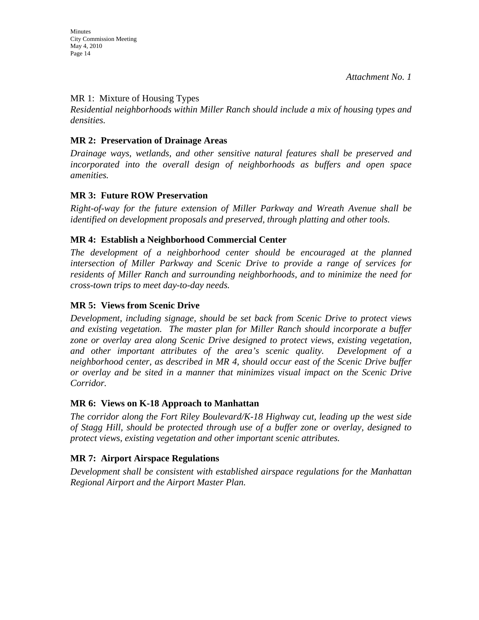#### MR 1: Mixture of Housing Types

*Residential neighborhoods within Miller Ranch should include a mix of housing types and densities.* 

## **MR 2: Preservation of Drainage Areas**

*Drainage ways, wetlands, and other sensitive natural features shall be preserved and incorporated into the overall design of neighborhoods as buffers and open space amenities.* 

## **MR 3: Future ROW Preservation**

*Right-of-way for the future extension of Miller Parkway and Wreath Avenue shall be identified on development proposals and preserved, through platting and other tools.* 

# **MR 4: Establish a Neighborhood Commercial Center**

The development of a neighborhood center should be encouraged at the planned *intersection of Miller Parkway and Scenic Drive to provide a range of services for residents of Miller Ranch and surrounding neighborhoods, and to minimize the need for cross-town trips to meet day-to-day needs.* 

# **MR 5: Views from Scenic Drive**

*Development, including signage, should be set back from Scenic Drive to protect views and existing vegetation. The master plan for Miller Ranch should incorporate a buffer zone or overlay area along Scenic Drive designed to protect views, existing vegetation, and other important attributes of the area's scenic quality. Development of a neighborhood center, as described in MR 4, should occur east of the Scenic Drive buffer or overlay and be sited in a manner that minimizes visual impact on the Scenic Drive Corridor.* 

#### **MR 6: Views on K-18 Approach to Manhattan**

*The corridor along the Fort Riley Boulevard/K-18 Highway cut, leading up the west side of Stagg Hill, should be protected through use of a buffer zone or overlay, designed to protect views, existing vegetation and other important scenic attributes.* 

# **MR 7: Airport Airspace Regulations**

*Development shall be consistent with established airspace regulations for the Manhattan Regional Airport and the Airport Master Plan.*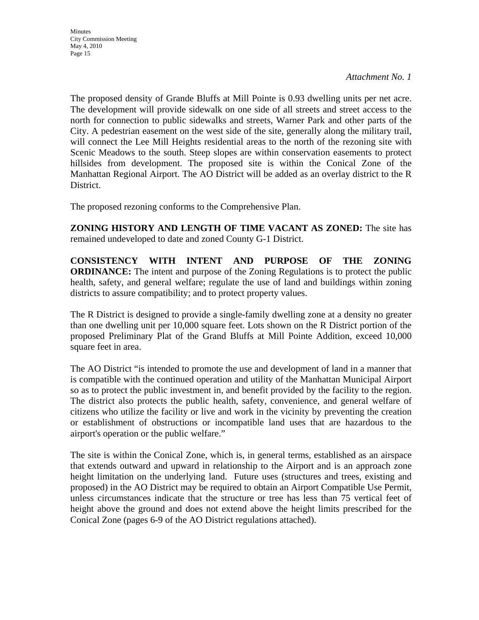The proposed density of Grande Bluffs at Mill Pointe is 0.93 dwelling units per net acre. The development will provide sidewalk on one side of all streets and street access to the north for connection to public sidewalks and streets, Warner Park and other parts of the City. A pedestrian easement on the west side of the site, generally along the military trail, will connect the Lee Mill Heights residential areas to the north of the rezoning site with Scenic Meadows to the south. Steep slopes are within conservation easements to protect hillsides from development. The proposed site is within the Conical Zone of the Manhattan Regional Airport. The AO District will be added as an overlay district to the R District.

The proposed rezoning conforms to the Comprehensive Plan.

**ZONING HISTORY AND LENGTH OF TIME VACANT AS ZONED:** The site has remained undeveloped to date and zoned County G-1 District.

**CONSISTENCY WITH INTENT AND PURPOSE OF THE ZONING ORDINANCE:** The intent and purpose of the Zoning Regulations is to protect the public health, safety, and general welfare; regulate the use of land and buildings within zoning districts to assure compatibility; and to protect property values.

The R District is designed to provide a single-family dwelling zone at a density no greater than one dwelling unit per 10,000 square feet. Lots shown on the R District portion of the proposed Preliminary Plat of the Grand Bluffs at Mill Pointe Addition, exceed 10,000 square feet in area.

The AO District "is intended to promote the use and development of land in a manner that is compatible with the continued operation and utility of the Manhattan Municipal Airport so as to protect the public investment in, and benefit provided by the facility to the region. The district also protects the public health, safety, convenience, and general welfare of citizens who utilize the facility or live and work in the vicinity by preventing the creation or establishment of obstructions or incompatible land uses that are hazardous to the airport's operation or the public welfare."

The site is within the Conical Zone, which is, in general terms, established as an airspace that extends outward and upward in relationship to the Airport and is an approach zone height limitation on the underlying land. Future uses (structures and trees, existing and proposed) in the AO District may be required to obtain an Airport Compatible Use Permit, unless circumstances indicate that the structure or tree has less than 75 vertical feet of height above the ground and does not extend above the height limits prescribed for the Conical Zone (pages 6-9 of the AO District regulations attached).